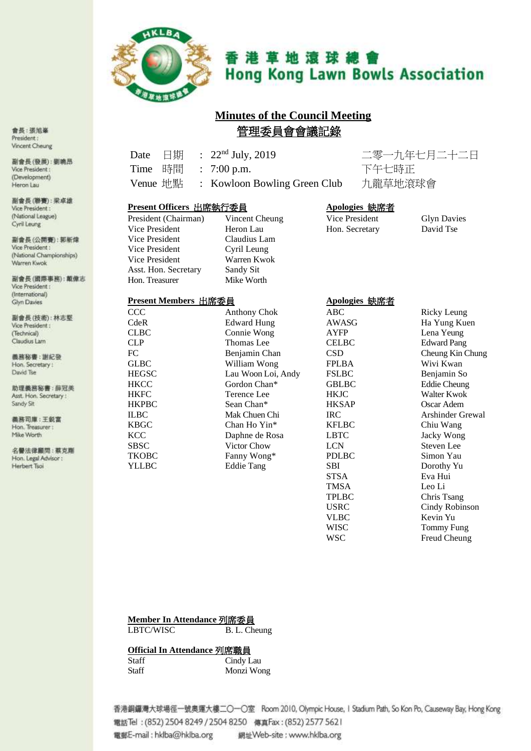

# 香港草地滾球總會 **Hong Kong Lawn Bowls Association**

# **Minutes of the Council Meeting** 管理委員會會議記錄

音長:張旭峯 President: Vincent Cheung

副會長(發展):劉曉昂 Vice President: (Development) Heron Lau

副會長(聯賽):梁卓雄 Vice President: (National League) Cyril Leung

副會長(公開賽):郭新煒 Vice President: (National Championships) Warren Kwok

副會長(國際事務):取做志 Vice President : (International) Glyn Davies

副會長(技術):林志堅 Vice President : (Technical) Claudius Lam

義務秘書:謝紀發 Hon. Secretary: David Tse

助理義務秘書:薛冠美 Asst. Hon. Secretary: Sandy Sit

器務司庫: 王锐富 Hon. Treasurer: Mike Worth

名譽法律顧問:蔡克羅 Hon. Legal Advisor : Herbert Tsoi

Date 日期 : 22nd July, 2019 二零一九年七月二十二日 Time 時間 : 7:00 p.m. 下午七時正

Venue 地點 : Kowloon Bowling Green Club 九龍草地滾球會

#### **Present Officers** 出席執行委員 **Apologies** 缺席者

| President (Chairman) | V  |
|----------------------|----|
| Vice President       | H  |
| Vice President       | C  |
| Vice President       | С  |
| Vice President       | W  |
| Asst. Hon. Secretary | Sε |
| Hon. Treasurer       | M  |

President (President Glyn Davies Cheung Vice President Glyn Davies Cheung Vice President Cheung Cheu<br>
Hon. Secretary David Tse vice President Lau Hon. Secretary laudius Lam vril Leung <sup>V</sup>arren Kwok andy Sit **Iike Worth** 

### **Present Members** 出席委員 **Apologies** 缺席者

CCC Anthony Chok ABC Ricky Leung CdeR Edward Hung AWASG Ha Yung Kuen CLBC Connie Wong AYFP Lena Yeung CLP Thomas Lee CELBC Edward Pang FC Benjamin Chan CSD Cheung Kin Chung GLBC William Wong FPLBA Wivi Kwan HEGSC Lau Woon Loi, Andy FSLBC Benjamin So HKCC Gordon Chan\* GBLBC Eddie Cheung HKFC Terence Lee HKJC Walter Kwok<br>
HKPBC Sean Chan\* HKSAP Oscar Adem HKPBC Sean Chan\* HKSAP Oscar Adem ILBC Mak Chuen Chi IRC Arshinder Grewal KBGC Chan Ho Yin<sup>\*</sup> KFLBC Chiu Wang<br>
KCC Daphne de Rosa LBTC Jacky Wong SBSC Victor Chow LCN Steven Lee TKOBC Fanny Wong\* PDLBC Simon Yau<br>
YLLBC Falie Tang SBI Dorothy Yu STSA Eva Hui TMSA Leo Li<br>TPLBC Chris T Chris Tsang USRC Cindy Robinson VLBC Kevin Yu WISC Tommy Fung WSC Freud Cheung

#### **Member In Attendance** 列席委員

LBTC/WISC B. L. Cheung

KCC Daphne de Rosa

#### **Official In Attendance** 列席職員

Staff Cindy Lau Staff Monzi Wong

Eddie Tang

香港銅鑼灣大球場徑一號奧運大樓二〇一〇室 Room 2010, Olympic House, I Stadium Path, So Kon Po, Causeway Bay, Hong Kong 電話Tel: (852) 2504 8249 / 2504 8250 傳真Fax: (852) 2577 5621 電郵E-mail : hklba@hklba.org 網址Web-site : www.hklba.org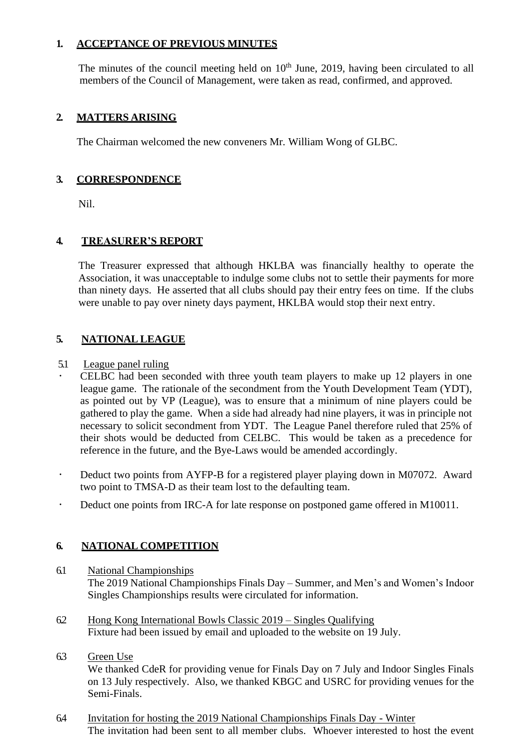# **1. ACCEPTANCE OF PREVIOUS MINUTES**

The minutes of the council meeting held on  $10<sup>th</sup>$  June, 2019, having been circulated to all members of the Council of Management, were taken as read, confirmed, and approved.

# **2. MATTERS ARISING**

The Chairman welcomed the new conveners Mr. William Wong of GLBC.

# **3. CORRESPONDENCE**

Nil.

# **4. TREASURER'S REPORT**

The Treasurer expressed that although HKLBA was financially healthy to operate the Association, it was unacceptable to indulge some clubs not to settle their payments for more than ninety days. He asserted that all clubs should pay their entry fees on time. If the clubs were unable to pay over ninety days payment, HKLBA would stop their next entry.

# **5. NATIONAL LEAGUE**

### 5.1 League panel ruling

- CELBC had been seconded with three youth team players to make up 12 players in one league game. The rationale of the secondment from the Youth Development Team (YDT), as pointed out by VP (League), was to ensure that a minimum of nine players could be gathered to play the game. When a side had already had nine players, it was in principle not necessary to solicit secondment from YDT. The League Panel therefore ruled that 25% of their shots would be deducted from CELBC. This would be taken as a precedence for reference in the future, and the Bye-Laws would be amended accordingly.
- Deduct two points from AYFP-B for a registered player playing down in M07072. Award two point to TMSA-D as their team lost to the defaulting team.
- Deduct one points from IRC-A for late response on postponed game offered in M10011.

# **6. NATIONAL COMPETITION**

- 6.1 National Championships The 2019 National Championships Finals Day – Summer, and Men's and Women's Indoor Singles Championships results were circulated for information.
- 6.2 Hong Kong International Bowls Classic 2019 Singles Qualifying Fixture had been issued by email and uploaded to the website on 19 July.

# 6.3 Green Use

We thanked CdeR for providing venue for Finals Day on 7 July and Indoor Singles Finals on 13 July respectively. Also, we thanked KBGC and USRC for providing venues for the Semi-Finals.

6.4 Invitation for hosting the 2019 National Championships Finals Day - Winter The invitation had been sent to all member clubs. Whoever interested to host the event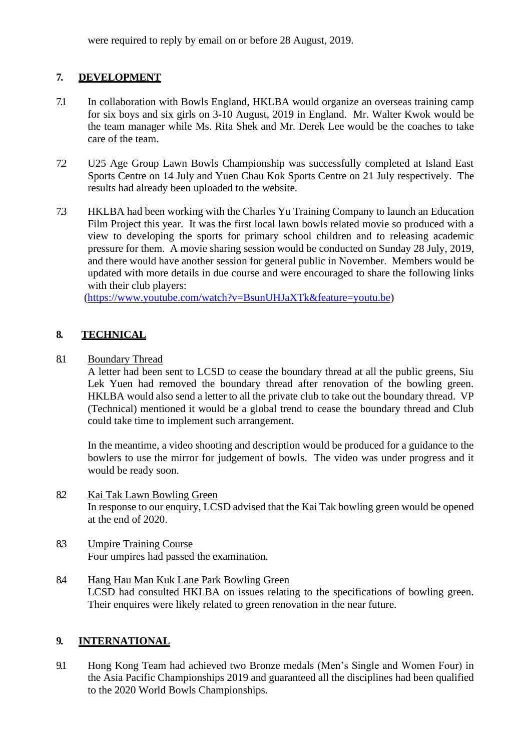were required to reply by email on or before 28 August, 2019.

# **7. DEVELOPMENT**

- 7.1 In collaboration with Bowls England, HKLBA would organize an overseas training camp for six boys and six girls on 3-10 August, 2019 in England. Mr. Walter Kwok would be the team manager while Ms. Rita Shek and Mr. Derek Lee would be the coaches to take care of the team.
- 7.2 U25 Age Group Lawn Bowls Championship was successfully completed at Island East Sports Centre on 14 July and Yuen Chau Kok Sports Centre on 21 July respectively. The results had already been uploaded to the website.
- 7.3 HKLBA had been working with the Charles Yu Training Company to launch an Education Film Project this year. It was the first local lawn bowls related movie so produced with a view to developing the sports for primary school children and to releasing academic pressure for them. A movie sharing session would be conducted on Sunday 28 July, 2019, and there would have another session for general public in November. Members would be updated with more details in due course and were encouraged to share the following links with their club players:

[\(https://www.youtube.com/watch?v=BsunUHJaXTk&feature=youtu.be\)](https://www.youtube.com/watch?v=BsunUHJaXTk&feature=youtu.be)

# **8. TECHNICAL**

### 8.1 Boundary Thread

A letter had been sent to LCSD to cease the boundary thread at all the public greens, Siu Lek Yuen had removed the boundary thread after renovation of the bowling green. HKLBA would also send a letter to all the private club to take out the boundary thread. VP (Technical) mentioned it would be a global trend to cease the boundary thread and Club could take time to implement such arrangement.

In the meantime, a video shooting and description would be produced for a guidance to the bowlers to use the mirror for judgement of bowls. The video was under progress and it would be ready soon.

- 8.2 Kai Tak Lawn Bowling Green In response to our enquiry, LCSD advised that the Kai Tak bowling green would be opened at the end of 2020.
- 8.3 Umpire Training Course Four umpires had passed the examination.
- 8.4 Hang Hau Man Kuk Lane Park Bowling Green LCSD had consulted HKLBA on issues relating to the specifications of bowling green. Their enquires were likely related to green renovation in the near future.

# **9. INTERNATIONAL**

9.1 Hong Kong Team had achieved two Bronze medals (Men's Single and Women Four) in the Asia Pacific Championships 2019 and guaranteed all the disciplines had been qualified to the 2020 World Bowls Championships.